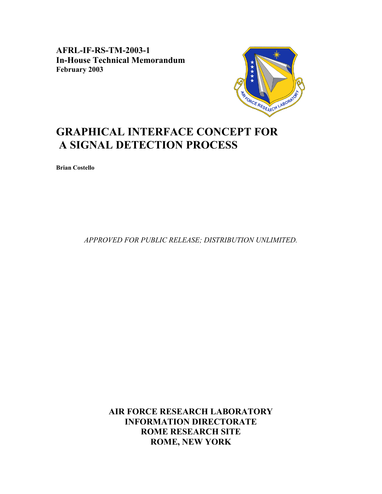**AFRL-IF-RS-TM-2003-1 In-House Technical Memorandum February 2003** 



# **GRAPHICAL INTERFACE CONCEPT FOR A SIGNAL DETECTION PROCESS**

**Brian Costello** 

*APPROVED FOR PUBLIC RELEASE; DISTRIBUTION UNLIMITED.*

**AIR FORCE RESEARCH LABORATORY INFORMATION DIRECTORATE ROME RESEARCH SITE ROME, NEW YORK**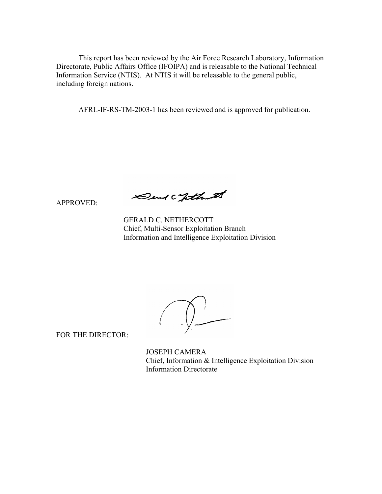This report has been reviewed by the Air Force Research Laboratory, Information Directorate, Public Affairs Office (IFOIPA) and is releasable to the National Technical Information Service (NTIS). At NTIS it will be releasable to the general public, including foreign nations.

AFRL-IF-RS-TM-2003-1 has been reviewed and is approved for publication.

APPROVED:

Dend Continue

 GERALD C. NETHERCOTT Chief, Multi-Sensor Exploitation Branch Information and Intelligence Exploitation Division

FOR THE DIRECTOR:

 JOSEPH CAMERA Chief, Information & Intelligence Exploitation Division Information Directorate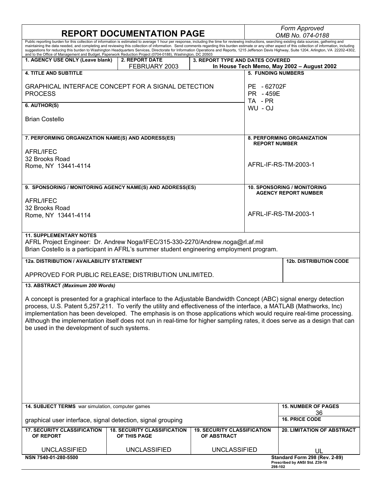|                                                                                                                                                                                                                                                                                                                    | <b>REPORT DOCUMENTATION PAGE</b>                   |                                                          | Form Approved<br>OMB No. 074-0188                                                                                                                                                                                                                                                                                                                                                                            |
|--------------------------------------------------------------------------------------------------------------------------------------------------------------------------------------------------------------------------------------------------------------------------------------------------------------------|----------------------------------------------------|----------------------------------------------------------|--------------------------------------------------------------------------------------------------------------------------------------------------------------------------------------------------------------------------------------------------------------------------------------------------------------------------------------------------------------------------------------------------------------|
| Public reporting burden for this collection of information is estimated to average 1 hour per response, including the time for reviewing instructions, searching existing data sources, gathering and<br>and to the Office of Management and Budget, Paperwork Reduction Project (0704-0188), Washington, DC 20503 |                                                    |                                                          | maintaining the data needed, and completing and reviewing this collection of information. Send comments regarding this burden estimate or any other aspect of this collection of information, including<br>suggestions for reducing this burden to Washington Headquarters Services, Directorate for Information Operations and Reports, 1215 Jefferson Davis Highway, Suite 1204, Arlington, VA 22202-4302, |
| 1. AGENCY USE ONLY (Leave blank)                                                                                                                                                                                                                                                                                   | 2. REPORT DATE<br>FEBRUARY 2003                    | 3. REPORT TYPE AND DATES COVERED                         | In House Tech Memo, May 2002 - August 2002                                                                                                                                                                                                                                                                                                                                                                   |
| <b>4. TITLE AND SUBTITLE</b>                                                                                                                                                                                                                                                                                       |                                                    |                                                          | <b>5. FUNDING NUMBERS</b>                                                                                                                                                                                                                                                                                                                                                                                    |
| GRAPHICAL INTERFACE CONCEPT FOR A SIGNAL DETECTION<br><b>PROCESS</b>                                                                                                                                                                                                                                               |                                                    | PR - 459E<br>TA-PR                                       | PE - 62702F                                                                                                                                                                                                                                                                                                                                                                                                  |
| 6. AUTHOR(S)                                                                                                                                                                                                                                                                                                       |                                                    | WU-OJ                                                    |                                                                                                                                                                                                                                                                                                                                                                                                              |
| <b>Brian Costello</b>                                                                                                                                                                                                                                                                                              |                                                    |                                                          |                                                                                                                                                                                                                                                                                                                                                                                                              |
| 7. PERFORMING ORGANIZATION NAME(S) AND ADDRESS(ES)                                                                                                                                                                                                                                                                 |                                                    |                                                          | <b>8. PERFORMING ORGANIZATION</b><br><b>REPORT NUMBER</b>                                                                                                                                                                                                                                                                                                                                                    |
| <b>AFRL/IFEC</b><br>32 Brooks Road<br>Rome, NY 13441-4114                                                                                                                                                                                                                                                          |                                                    |                                                          | AFRL-IF-RS-TM-2003-1                                                                                                                                                                                                                                                                                                                                                                                         |
| 9. SPONSORING / MONITORING AGENCY NAME(S) AND ADDRESS(ES)                                                                                                                                                                                                                                                          |                                                    |                                                          | <b>10. SPONSORING / MONITORING</b>                                                                                                                                                                                                                                                                                                                                                                           |
| <b>AFRL/IFEC</b><br>32 Brooks Road<br>Rome, NY 13441-4114                                                                                                                                                                                                                                                          |                                                    |                                                          | <b>AGENCY REPORT NUMBER</b><br>AFRL-IF-RS-TM-2003-1                                                                                                                                                                                                                                                                                                                                                          |
|                                                                                                                                                                                                                                                                                                                    |                                                    |                                                          |                                                                                                                                                                                                                                                                                                                                                                                                              |
| <b>11. SUPPLEMENTARY NOTES</b><br>AFRL Project Engineer: Dr. Andrew Noga/IFEC/315-330-2270/Andrew.noga@rl.af.mil<br>Brian Costello is a participant in AFRL's summer student engineering employment program.                                                                                                       |                                                    |                                                          |                                                                                                                                                                                                                                                                                                                                                                                                              |
| 12a. DISTRIBUTION / AVAILABILITY STATEMENT                                                                                                                                                                                                                                                                         |                                                    |                                                          | <b>12b. DISTRIBUTION CODE</b>                                                                                                                                                                                                                                                                                                                                                                                |
| APPROVED FOR PUBLIC RELEASE; DISTRIBUTION UNLIMITED.                                                                                                                                                                                                                                                               |                                                    |                                                          |                                                                                                                                                                                                                                                                                                                                                                                                              |
| 13. ABSTRACT (Maximum 200 Words)                                                                                                                                                                                                                                                                                   |                                                    |                                                          |                                                                                                                                                                                                                                                                                                                                                                                                              |
| A concept is presented for a graphical interface to the Adjustable Bandwidth Concept (ABC) signal energy detection<br>process, U.S. Patent 5,257,211. To verify the utility and effectiveness of the interface, a MATLAB (Mathworks, Inc)<br>be used in the development of such systems.                           |                                                    |                                                          | implementation has been developed. The emphasis is on those applications which would require real-time processing.<br>Although the implementation itself does not run in real-time for higher sampling rates, it does serve as a design that can                                                                                                                                                             |
|                                                                                                                                                                                                                                                                                                                    |                                                    |                                                          |                                                                                                                                                                                                                                                                                                                                                                                                              |
| 14. SUBJECT TERMS war simulation, computer games                                                                                                                                                                                                                                                                   |                                                    |                                                          | <b>15. NUMBER OF PAGES</b><br>36                                                                                                                                                                                                                                                                                                                                                                             |
| graphical user interface, signal detection, signal grouping                                                                                                                                                                                                                                                        |                                                    |                                                          | <b>16. PRICE CODE</b>                                                                                                                                                                                                                                                                                                                                                                                        |
| <b>17. SECURITY CLASSIFICATION</b><br>OF REPORT                                                                                                                                                                                                                                                                    | <b>18. SECURITY CLASSIFICATION</b><br>OF THIS PAGE | <b>19. SECURITY CLASSIFICATION</b><br><b>OF ABSTRACT</b> | <b>20. LIMITATION OF ABSTRACT</b>                                                                                                                                                                                                                                                                                                                                                                            |
| <b>UNCLASSIFIED</b>                                                                                                                                                                                                                                                                                                | <b>UNCLASSIFIED</b>                                | <b>UNCLASSIFIED</b>                                      | UL                                                                                                                                                                                                                                                                                                                                                                                                           |
| NSN 7540-01-280-5500                                                                                                                                                                                                                                                                                               |                                                    |                                                          | Standard Form 298 (Rev. 2-89)<br>Prescribed by ANSI Std. Z39-18<br>298-102                                                                                                                                                                                                                                                                                                                                   |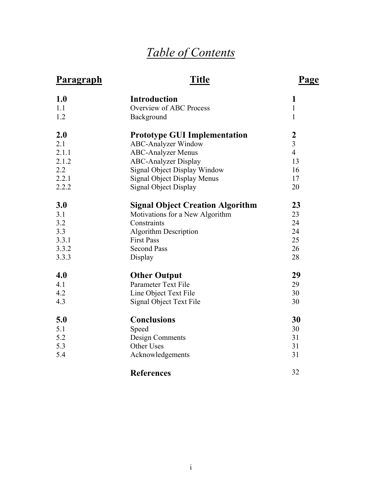# *Table of Contents*

# **Paragraph**

# **Title**

# **Page**

| 1.0   | <b>Introduction</b>                     | 1                |
|-------|-----------------------------------------|------------------|
| 1.1   | Overview of ABC Process                 | $\mathbf{1}$     |
| 1.2   | Background                              | $\mathbf{1}$     |
| 2.0   | <b>Prototype GUI Implementation</b>     | $\boldsymbol{2}$ |
| 2.1   | <b>ABC-Analyzer Window</b>              | $\overline{3}$   |
| 2.1.1 | <b>ABC-Analyzer Menus</b>               | $\overline{4}$   |
| 2.1.2 | <b>ABC-Analyzer Display</b>             | 13               |
| 2.2   | <b>Signal Object Display Window</b>     | 16               |
| 2.2.1 | Signal Object Display Menus             | 17               |
| 2.2.2 | Signal Object Display                   | 20               |
| 3.0   | <b>Signal Object Creation Algorithm</b> | 23               |
| 3.1   | Motivations for a New Algorithm         | 23               |
| 3.2   | Constraints                             | 24               |
| 3.3   | <b>Algorithm Description</b>            | 24               |
| 3.3.1 | <b>First Pass</b>                       | 25               |
| 3.3.2 | <b>Second Pass</b>                      | 26               |
| 3.3.3 | Display                                 | 28               |
| 4.0   | <b>Other Output</b>                     | 29               |
| 4.1   | Parameter Text File                     | 29               |
| 4.2   | Line Object Text File                   | 30               |
| 4.3   | Signal Object Text File                 | 30               |
| 5.0   | <b>Conclusions</b>                      | 30               |
| 5.1   | Speed                                   | 30               |
| 5.2   | Design Comments                         | 31               |
| 5.3   | Other Uses                              | 31               |
| 5.4   | Acknowledgements                        | 31               |
|       | <b>References</b>                       | 32               |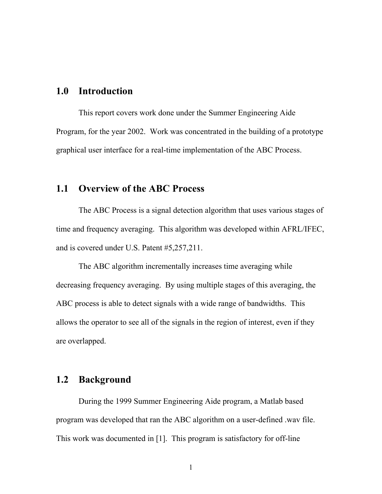# **1.0 Introduction**

This report covers work done under the Summer Engineering Aide Program, for the year 2002. Work was concentrated in the building of a prototype graphical user interface for a real-time implementation of the ABC Process.

# **1.1 Overview of the ABC Process**

The ABC Process is a signal detection algorithm that uses various stages of time and frequency averaging. This algorithm was developed within AFRL/IFEC, and is covered under U.S. Patent #5,257,211.

The ABC algorithm incrementally increases time averaging while decreasing frequency averaging. By using multiple stages of this averaging, the ABC process is able to detect signals with a wide range of bandwidths. This allows the operator to see all of the signals in the region of interest, even if they are overlapped.

## **1.2 Background**

During the 1999 Summer Engineering Aide program, a Matlab based program was developed that ran the ABC algorithm on a user-defined .wav file. This work was documented in [1]. This program is satisfactory for off-line

1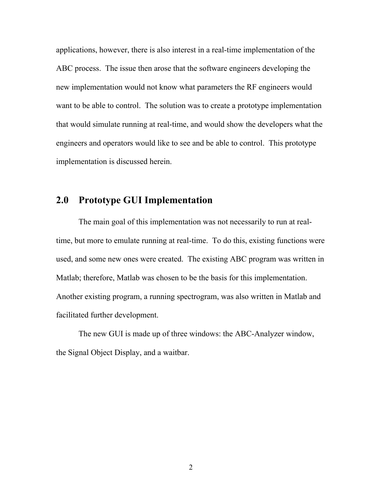applications, however, there is also interest in a real-time implementation of the ABC process. The issue then arose that the software engineers developing the new implementation would not know what parameters the RF engineers would want to be able to control. The solution was to create a prototype implementation that would simulate running at real-time, and would show the developers what the engineers and operators would like to see and be able to control. This prototype implementation is discussed herein.

#### **2.0 Prototype GUI Implementation**

The main goal of this implementation was not necessarily to run at realtime, but more to emulate running at real-time. To do this, existing functions were used, and some new ones were created. The existing ABC program was written in Matlab; therefore, Matlab was chosen to be the basis for this implementation. Another existing program, a running spectrogram, was also written in Matlab and facilitated further development.

The new GUI is made up of three windows: the ABC-Analyzer window, the Signal Object Display, and a waitbar.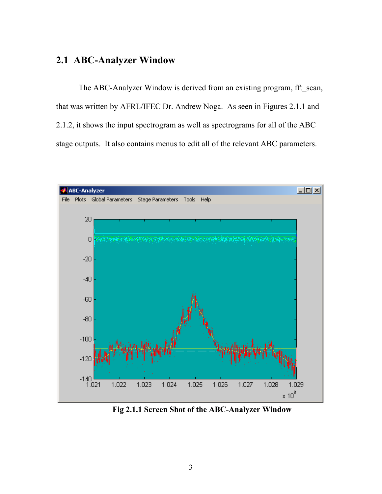# **2.1 ABC-Analyzer Window**

The ABC-Analyzer Window is derived from an existing program, fft scan, that was written by AFRL/IFEC Dr. Andrew Noga. As seen in Figures 2.1.1 and 2.1.2, it shows the input spectrogram as well as spectrograms for all of the ABC stage outputs. It also contains menus to edit all of the relevant ABC parameters.



**Fig 2.1.1 Screen Shot of the ABC-Analyzer Window**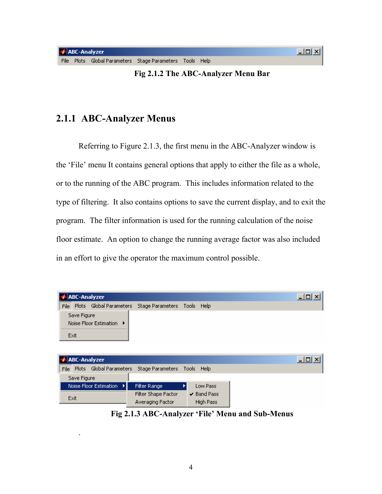.

**J** Exit

**Fig 2.1.2 The ABC-Analyzer Menu Bar** 

# **2.1.1 ABC-Analyzer Menus**

Referring to Figure 2.1.3, the first menu in the ABC-Analyzer window is the 'File' menu It contains general options that apply to either the file as a whole, or to the running of the ABC program. This includes information related to the type of filtering. It also contains options to save the current display, and to exit the program. The filter information is used for the running calculation of the noise floor estimate. An option to change the running average factor was also included in an effort to give the operator the maximum control possible.

|      |             | <b>ABC-Analyzer</b>          |                  |            |          | $\Box$ D $\times$  |
|------|-------------|------------------------------|------------------|------------|----------|--------------------|
|      |             | File Plots Global Parameters | Stage Parameters | Tools Help |          |                    |
| Exit | Save Figure | Noise Floor Estimation       |                  |            |          |                    |
|      |             | ABC-Analyzer                 |                  |            |          | $\Box$ ol $\times$ |
| File |             | Plots Global Parameters      | Stage Parameters | Tools Help |          |                    |
|      | Save Figure |                              |                  |            |          |                    |
|      |             |                              |                  |            |          |                    |
|      |             | Noise Floor Estimation<br>н  | Filter Range     |            | Low Pass |                    |

Averaging Factor

**Fig 2.1.3 ABC-Analyzer 'File' Menu and Sub-Menus** 

High Pass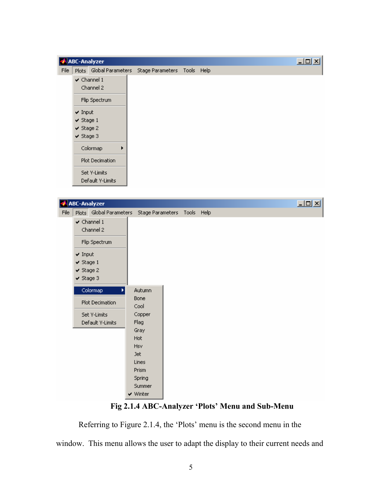|      | <b>ABC-Analyzer</b> |                         |   |                             |  |  | $\Box$ |
|------|---------------------|-------------------------|---|-----------------------------|--|--|--------|
| File |                     | Plots Global Parameters |   | Stage Parameters Tools Help |  |  |        |
|      |                     | $\checkmark$ Channel 1  |   |                             |  |  |        |
|      |                     | Channel 2               |   |                             |  |  |        |
|      |                     | Flip Spectrum           |   |                             |  |  |        |
|      | $\times$ Input      |                         |   |                             |  |  |        |
|      | $\vee$ Stage 1      |                         |   |                             |  |  |        |
|      | $\vee$ Stage 2      |                         |   |                             |  |  |        |
|      | $\vee$ Stage 3      |                         |   |                             |  |  |        |
|      |                     | Colormap                | ▶ |                             |  |  |        |
|      |                     | <b>Plot Decimation</b>  |   |                             |  |  |        |
|      |                     | Set Y-Limits            |   |                             |  |  |        |
|      |                     | Default Y-Limits        |   |                             |  |  |        |

|      |                | <b>ABC-Analyzer</b>                                |                                                                                         |  |  |  | $\Box$ D $\times$ |
|------|----------------|----------------------------------------------------|-----------------------------------------------------------------------------------------|--|--|--|-------------------|
| File |                | Plots Global Parameters                            | Stage Parameters Tools Help                                                             |  |  |  |                   |
|      |                | $\checkmark$ Channel 1<br>Channel 2                |                                                                                         |  |  |  |                   |
|      |                | Flip Spectrum                                      |                                                                                         |  |  |  |                   |
|      | $\times$ Input | $\vee$ Stage 1<br>$\vee$ Stage 2<br>$\vee$ Stage 3 |                                                                                         |  |  |  |                   |
|      |                | Colormap                                           | Autumn                                                                                  |  |  |  |                   |
|      |                | Plot Decimation                                    | <b>Bone</b><br>Cool                                                                     |  |  |  |                   |
|      |                | Set Y-Limits<br>Default Y-Limits                   | Copper<br>Flag                                                                          |  |  |  |                   |
|      |                |                                                    | Gray<br>Hot<br>Hsy<br><b>Jet</b><br>Lines<br>Prism<br>Spring<br>Summer<br>$\vee$ Winter |  |  |  |                   |

# **Fig 2.1.4 ABC-Analyzer 'Plots' Menu and Sub-Menu**

Referring to Figure 2.1.4, the 'Plots' menu is the second menu in the window. This menu allows the user to adapt the display to their current needs and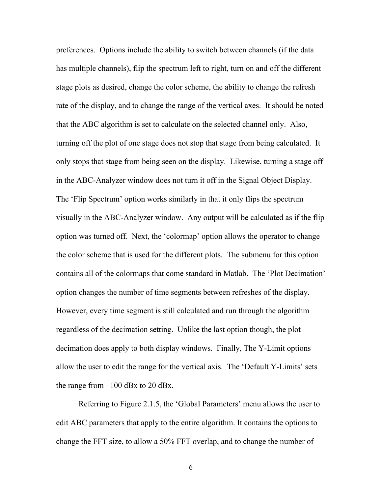preferences. Options include the ability to switch between channels (if the data has multiple channels), flip the spectrum left to right, turn on and off the different stage plots as desired, change the color scheme, the ability to change the refresh rate of the display, and to change the range of the vertical axes. It should be noted that the ABC algorithm is set to calculate on the selected channel only. Also, turning off the plot of one stage does not stop that stage from being calculated. It only stops that stage from being seen on the display. Likewise, turning a stage off in the ABC-Analyzer window does not turn it off in the Signal Object Display. The 'Flip Spectrum' option works similarly in that it only flips the spectrum visually in the ABC-Analyzer window. Any output will be calculated as if the flip option was turned off. Next, the 'colormap' option allows the operator to change the color scheme that is used for the different plots. The submenu for this option contains all of the colormaps that come standard in Matlab. The 'Plot Decimation' option changes the number of time segments between refreshes of the display. However, every time segment is still calculated and run through the algorithm regardless of the decimation setting. Unlike the last option though, the plot decimation does apply to both display windows. Finally, The Y-Limit options allow the user to edit the range for the vertical axis. The 'Default Y-Limits' sets the range from  $-100$  dBx to 20 dBx.

Referring to Figure 2.1.5, the 'Global Parameters' menu allows the user to edit ABC parameters that apply to the entire algorithm. It contains the options to change the FFT size, to allow a 50% FFT overlap, and to change the number of

6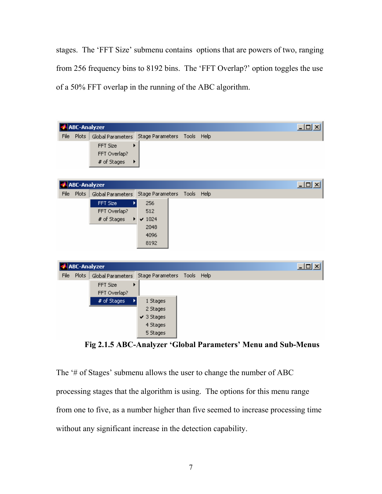stages. The 'FFT Size' submenu contains options that are powers of two, ranging from 256 frequency bins to 8192 bins. The 'FFT Overlap?' option toggles the use of a 50% FFT overlap in the running of the ABC algorithm.



**Fig 2.1.5 ABC-Analyzer 'Global Parameters' Menu and Sub-Menus** 

The '# of Stages' submenu allows the user to change the number of ABC processing stages that the algorithm is using. The options for this menu range from one to five, as a number higher than five seemed to increase processing time without any significant increase in the detection capability.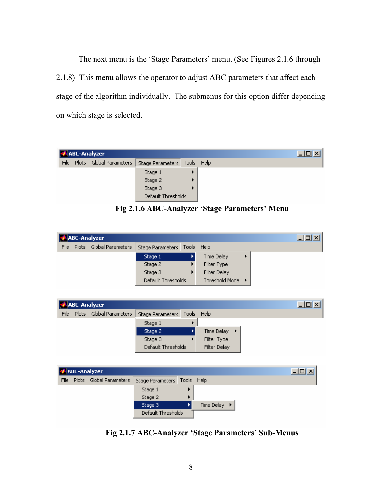The next menu is the 'Stage Parameters' menu. (See Figures 2.1.6 through 2.1.8) This menu allows the operator to adjust ABC parameters that affect each stage of the algorithm individually. The submenus for this option differ depending on which stage is selected.

|      | <b>ABC-Analyzer</b>     |                             |  |  | <u>니미×</u> |
|------|-------------------------|-----------------------------|--|--|------------|
| File | Plots Global Parameters | Stage Parameters Tools Help |  |  |            |
|      |                         | Stage 1                     |  |  |            |
|      |                         | Stage 2                     |  |  |            |
|      |                         | Stage 3                     |  |  |            |
|      |                         | Default Thresholds          |  |  |            |

**Fig 2.1.6 ABC-Analyzer 'Stage Parameters' Menu** 

|      |              | ABC-Analyzer      |                               |                  | $\Box$ |
|------|--------------|-------------------|-------------------------------|------------------|--------|
| File | <b>Plots</b> | Global Parameters | Stage Parameters   Tools Help |                  |        |
|      |              |                   | Stage 1                       | Time Delay       |        |
|      |              |                   | Stage 2                       | Filter Type      |        |
|      |              |                   | Stage 3                       | Filter Delay     |        |
|      |              |                   | Default Thresholds            | Threshold Mode ▶ |        |

| Global Parameters<br><b>Plots</b><br>Stage Parameters Tools Help<br>File |
|--------------------------------------------------------------------------|
| Stage 1                                                                  |
| Time Delay ▶<br>Stage 2                                                  |
| Filter Type<br>Stage 3                                                   |
| Filter Delay<br>Default Thresholds                                       |
|                                                                          |

|      |       | ABC-Analyzer      |                    |            |              |  | 그미지 |
|------|-------|-------------------|--------------------|------------|--------------|--|-----|
| File | Plots | Global Parameters | Stage Parameters   | Tools Help |              |  |     |
|      |       |                   | Stage 1            |            |              |  |     |
|      |       |                   | Stage 2            |            |              |  |     |
|      |       |                   | Stage 3            |            | Time Delay ▶ |  |     |
|      |       |                   | Default Thresholds |            |              |  |     |

**Fig 2.1.7 ABC-Analyzer 'Stage Parameters' Sub-Menus**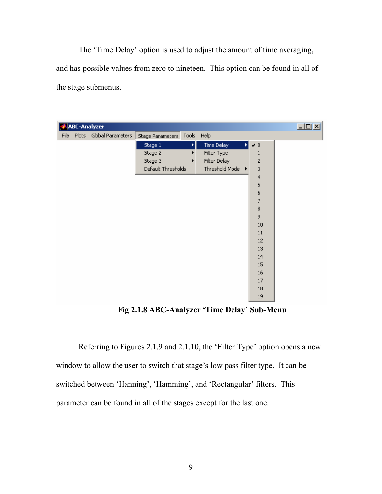The 'Time Delay' option is used to adjust the amount of time averaging, and has possible values from zero to nineteen. This option can be found in all of the stage submenus.

|  | <b>ABC-Analyzer</b>          |                             |   |                  |   |                          | $\Box$ |
|--|------------------------------|-----------------------------|---|------------------|---|--------------------------|--------|
|  | File Plots Global Parameters | Stage Parameters Tools Help |   |                  |   |                          |        |
|  |                              | Stage 1                     | ы | Time Delay       | И | $\blacktriangledown$ 0   |        |
|  |                              | Stage 2                     |   | Filter Type      |   | 1                        |        |
|  |                              | Stage 3                     |   | Filter Delay     |   | $\mathbf{2}$             |        |
|  |                              | Default Thresholds          |   | Threshold Mode ▶ |   | 3                        |        |
|  |                              |                             |   |                  |   | $\overline{4}$           |        |
|  |                              |                             |   |                  |   | 5                        |        |
|  |                              |                             |   |                  |   | 6                        |        |
|  |                              |                             |   |                  |   | $\overline{\mathcal{L}}$ |        |
|  |                              |                             |   |                  |   | $\bf8$                   |        |
|  |                              |                             |   |                  |   | 9                        |        |
|  |                              |                             |   |                  |   | 10                       |        |
|  |                              |                             |   |                  |   | 11                       |        |
|  |                              |                             |   |                  |   | 12                       |        |
|  |                              |                             |   |                  |   | 13                       |        |
|  |                              |                             |   |                  |   | 14                       |        |
|  |                              |                             |   |                  |   | 15                       |        |
|  |                              |                             |   |                  |   | 16                       |        |
|  |                              |                             |   |                  |   | $17\,$                   |        |
|  |                              |                             |   |                  |   | 18                       |        |
|  |                              |                             |   |                  |   | 19                       |        |

**Fig 2.1.8 ABC-Analyzer 'Time Delay' Sub-Menu** 

Referring to Figures 2.1.9 and 2.1.10, the 'Filter Type' option opens a new window to allow the user to switch that stage's low pass filter type. It can be switched between 'Hanning', 'Hamming', and 'Rectangular' filters. This parameter can be found in all of the stages except for the last one.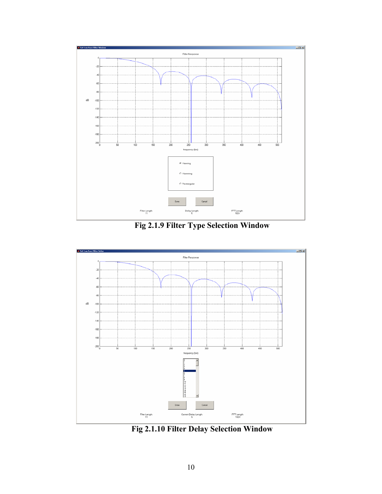

**Fig 2.1.9 Filter Type Selection Window** 



**Fig 2.1.10 Filter Delay Selection Window**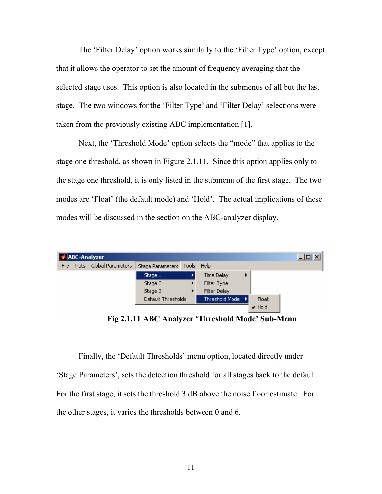The 'Filter Delay' option works similarly to the 'Filter Type' option, except that it allows the operator to set the amount of frequency averaging that the selected stage uses. This option is also located in the submenus of all but the last stage. The two windows for the 'Filter Type' and 'Filter Delay' selections were taken from the previously existing ABC implementation [1].

Next, the 'Threshold Mode' option selects the "mode" that applies to the stage one threshold, as shown in Figure 2.1.11. Since this option applies only to the stage one threshold, it is only listed in the submenu of the first stage. The two modes are 'Float' (the default mode) and 'Hold'. The actual implications of these modes will be discussed in the section on the ABC-analyzer display.

|      |       | <b>ABC-Analyzer</b> |                    |       |                   |                            | $\Box$ o $\Box$ |
|------|-------|---------------------|--------------------|-------|-------------------|----------------------------|-----------------|
| File | Plots | Global Parameters   | Stage Parameters   | Tools | Help              |                            |                 |
|      |       |                     | Stage 1            |       | <b>Time Delay</b> |                            |                 |
|      |       |                     | Stage 2            |       | Filter Type       |                            |                 |
|      |       |                     | Stage 3            | ▸     | Filter Delay      |                            |                 |
|      |       |                     | Default Thresholds |       | Threshold Mode    | Float                      |                 |
|      |       |                     |                    |       |                   | $\blacktriangleright$ Hold |                 |

**Fig 2.1.11 ABC Analyzer 'Threshold Mode' Sub-Menu** 

Finally, the 'Default Thresholds' menu option, located directly under 'Stage Parameters', sets the detection threshold for all stages back to the default. For the first stage, it sets the threshold 3 dB above the noise floor estimate. For the other stages, it varies the thresholds between 0 and 6.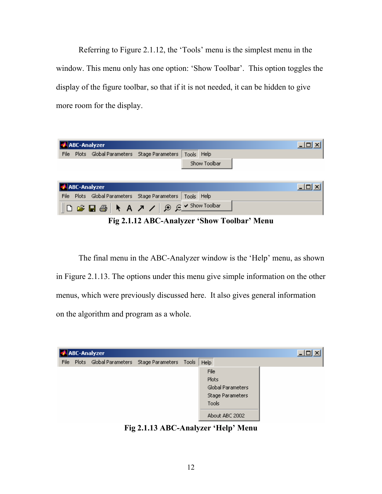Referring to Figure 2.1.12, the 'Tools' menu is the simplest menu in the window. This menu only has one option: 'Show Toolbar'. This option toggles the display of the figure toolbar, so that if it is not needed, it can be hidden to give more room for the display.

|      | <b>ABC-Analyzer</b>                           |            |              | $\Box$ o $\bm{\times}$ |
|------|-----------------------------------------------|------------|--------------|------------------------|
| File | Plots Global Parameters Stage Parameters      | Tools Help |              |                        |
|      |                                               |            | Show Toolbar |                        |
|      |                                               |            |              |                        |
|      |                                               |            |              |                        |
|      |                                               |            |              |                        |
|      | ABC-Analyzer                                  |            |              | $\Box$ olx             |
|      | File Plots Global Parameters Stage Parameters | Tools Help |              |                        |

**Fig 2.1.12 ABC-Analyzer 'Show Toolbar' Menu** 

The final menu in the ABC-Analyzer window is the 'Help' menu, as shown in Figure 2.1.13. The options under this menu give simple information on the other menus, which were previously discussed here. It also gives general information on the algorithm and program as a whole.



**Fig 2.1.13 ABC-Analyzer 'Help' Menu**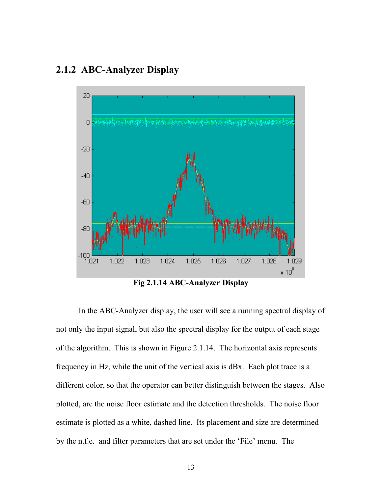# **2.1.2 ABC-Analyzer Display**



**Fig 2.1.14 ABC-Analyzer Display** 

In the ABC-Analyzer display, the user will see a running spectral display of not only the input signal, but also the spectral display for the output of each stage of the algorithm. This is shown in Figure 2.1.14. The horizontal axis represents frequency in Hz, while the unit of the vertical axis is dBx. Each plot trace is a different color, so that the operator can better distinguish between the stages. Also plotted, are the noise floor estimate and the detection thresholds. The noise floor estimate is plotted as a white, dashed line. Its placement and size are determined by the n.f.e. and filter parameters that are set under the 'File' menu. The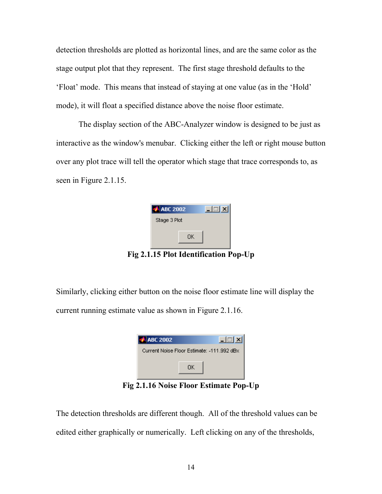detection thresholds are plotted as horizontal lines, and are the same color as the stage output plot that they represent. The first stage threshold defaults to the 'Float' mode. This means that instead of staying at one value (as in the 'Hold' mode), it will float a specified distance above the noise floor estimate.

The display section of the ABC-Analyzer window is designed to be just as interactive as the window's menubar. Clicking either the left or right mouse button over any plot trace will tell the operator which stage that trace corresponds to, as seen in Figure 2.1.15.

|     | <b>ABC 2002</b> |    |                              |  |
|-----|-----------------|----|------------------------------|--|
|     | Stage 3 Plot    |    |                              |  |
|     |                 | ΟK |                              |  |
| - 1 |                 |    | $E$ Dlat Llantification Dans |  |

**Fig 2.1.15 Plot Identification Pop-Up** 

Similarly, clicking either button on the noise floor estimate line will display the current running estimate value as shown in Figure 2.1.16.

| <b>ABC 2002</b>                            |    |  |
|--------------------------------------------|----|--|
| Current Noise Floor Estimate: -111.992 dBx |    |  |
|                                            | ПK |  |
|                                            |    |  |

**Fig 2.1.16 Noise Floor Estimate Pop-Up** 

The detection thresholds are different though. All of the threshold values can be edited either graphically or numerically. Left clicking on any of the thresholds,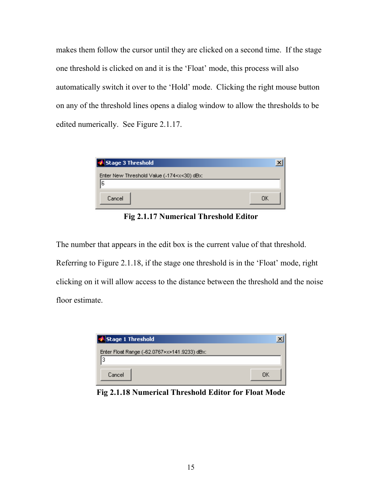makes them follow the cursor until they are clicked on a second time. If the stage one threshold is clicked on and it is the 'Float' mode, this process will also automatically switch it over to the 'Hold' mode. Clicking the right mouse button on any of the threshold lines opens a dialog window to allow the thresholds to be edited numerically. See Figure 2.1.17.

| Stage 3 Threshold                                                       |    |
|-------------------------------------------------------------------------|----|
| Enter New Threshold Value (-174 <x<30) dbx:<="" td=""><td></td></x<30)> |    |
| 6                                                                       |    |
| Cancel                                                                  | ПK |

**Fig 2.1.17 Numerical Threshold Editor** 

The number that appears in the edit box is the current value of that threshold. Referring to Figure 2.1.18, if the stage one threshold is in the 'Float' mode, right clicking on it will allow access to the distance between the threshold and the noise floor estimate.



**Fig 2.1.18 Numerical Threshold Editor for Float Mode**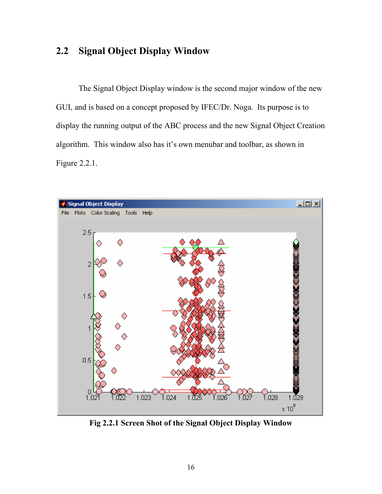# **2.2 Signal Object Display Window**

The Signal Object Display window is the second major window of the new GUI, and is based on a concept proposed by IFEC/Dr. Noga. Its purpose is to display the running output of the ABC process and the new Signal Object Creation algorithm. This window also has it's own menubar and toolbar, as shown in Figure 2.2.1.



**Fig 2.2.1 Screen Shot of the Signal Object Display Window**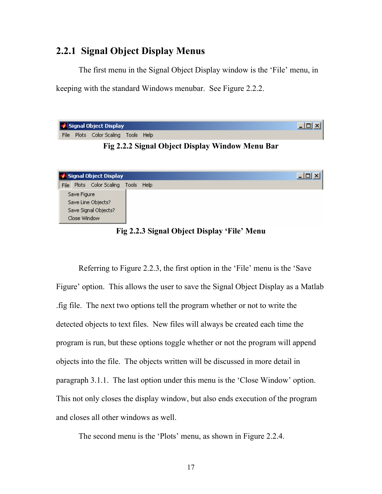#### **2.2.1 Signal Object Display Menus**

The first menu in the Signal Object Display window is the 'File' menu, in keeping with the standard Windows menubar. See Figure 2.2.2.

| Signal Object Display |  |                                     |  |  |  |  |
|-----------------------|--|-------------------------------------|--|--|--|--|
|                       |  | File Plots Color Scaling Tools Help |  |  |  |  |

**Fig 2.2.2 Signal Object Display Window Menu Bar**

| Signal Object Display                  | -101 |
|----------------------------------------|------|
| Plots Color Scaling Tools Help<br>File |      |
| Save Figure                            |      |
| Save Line Objects?                     |      |
| Save Signal Objects?                   |      |
| Close Window                           |      |

**Fig 2.2.3 Signal Object Display 'File' Menu** 

Referring to Figure 2.2.3, the first option in the 'File' menu is the 'Save Figure' option. This allows the user to save the Signal Object Display as a Matlab .fig file. The next two options tell the program whether or not to write the detected objects to text files. New files will always be created each time the program is run, but these options toggle whether or not the program will append objects into the file. The objects written will be discussed in more detail in paragraph 3.1.1. The last option under this menu is the 'Close Window' option. This not only closes the display window, but also ends execution of the program and closes all other windows as well.

The second menu is the 'Plots' menu, as shown in Figure 2.2.4.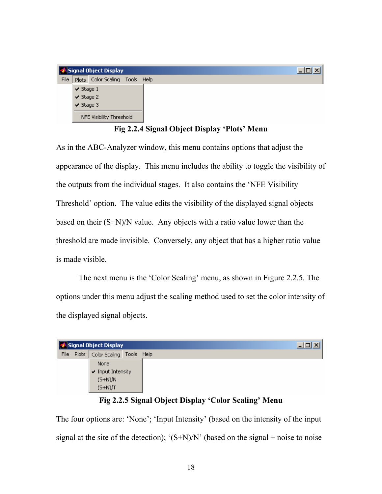|      |                | Signal Object Display          | -101 |
|------|----------------|--------------------------------|------|
| File |                | Plots Color Scaling Tools Help |      |
|      | $\vee$ Stage 1 |                                |      |
|      | $\vee$ Stage 2 |                                |      |
|      | $\vee$ Stage 3 |                                |      |
|      |                | NFE Visibility Threshold       |      |

**Fig 2.2.4 Signal Object Display 'Plots' Menu** 

As in the ABC-Analyzer window, this menu contains options that adjust the appearance of the display. This menu includes the ability to toggle the visibility of the outputs from the individual stages. It also contains the 'NFE Visibility Threshold' option. The value edits the visibility of the displayed signal objects based on their  $(S+N)/N$  value. Any objects with a ratio value lower than the threshold are made invisible. Conversely, any object that has a higher ratio value is made visible.

The next menu is the 'Color Scaling' menu, as shown in Figure 2.2.5. The options under this menu adjust the scaling method used to set the color intensity of the displayed signal objects.

|      |       | 3 Signal Object Display  | - 미 |
|------|-------|--------------------------|-----|
| File | Plots | Color Scaling Tools Help |     |
|      |       | None                     |     |
|      |       | $\vee$ Input Intensity   |     |
|      |       | $(S+N)/N$                |     |
|      |       | $(S+N)/T$                |     |

#### **Fig 2.2.5 Signal Object Display 'Color Scaling' Menu**

The four options are: 'None'; 'Input Intensity' (based on the intensity of the input signal at the site of the detection);  $(S+N)/N'$  (based on the signal + noise to noise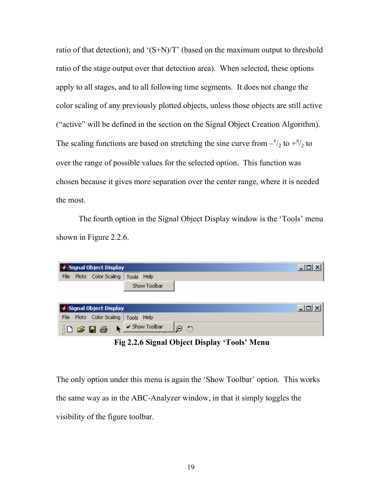ratio of that detection); and ' $(S+N)/T$ ' (based on the maximum output to threshold ratio of the stage output over that detection area). When selected, these options apply to all stages, and to all following time segments. It does not change the color scaling of any previously plotted objects, unless those objects are still active ("active" will be defined in the section on the Signal Object Creation Algorithm). The scaling functions are based on stretching the sine curve from  $-\frac{\pi}{2}$  to  $+\frac{\pi}{2}$  to over the range of possible values for the selected option. This function was chosen because it gives more separation over the center range, where it is needed the most.

The fourth option in the Signal Object Display window is the 'Tools' menu shown in Figure 2.2.6.

|                               |  | Signal Object Display            |  |              |  |  |
|-------------------------------|--|----------------------------------|--|--------------|--|--|
| File                          |  | Plots Color Scaling   Tools Help |  |              |  |  |
|                               |  |                                  |  | Show Toolbar |  |  |
|                               |  |                                  |  |              |  |  |
| Signal Object Display<br>-101 |  |                                  |  |              |  |  |
|                               |  |                                  |  |              |  |  |
| File                          |  | Plots Color Scaling   Tools Help |  |              |  |  |

 **Fig 2.2.6 Signal Object Display 'Tools' Menu** 

The only option under this menu is again the 'Show Toolbar' option. This works the same way as in the ABC-Analyzer window, in that it simply toggles the visibility of the figure toolbar.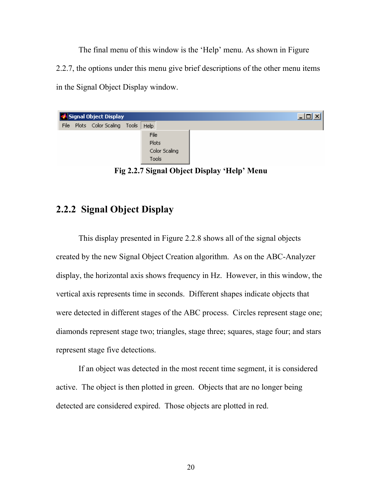The final menu of this window is the 'Help' menu. As shown in Figure 2.2.7, the options under this menu give brief descriptions of the other menu items in the Signal Object Display window.

|  | Signal Object Display          |               |  |
|--|--------------------------------|---------------|--|
|  | File Plots Color Scaling Tools | Help          |  |
|  |                                | File          |  |
|  |                                | Plots         |  |
|  |                                | Color Scaling |  |
|  |                                | <b>Tools</b>  |  |

**Fig 2.2.7 Signal Object Display 'Help' Menu** 

# **2.2.2 Signal Object Display**

This display presented in Figure 2.2.8 shows all of the signal objects created by the new Signal Object Creation algorithm. As on the ABC-Analyzer display, the horizontal axis shows frequency in Hz. However, in this window, the vertical axis represents time in seconds. Different shapes indicate objects that were detected in different stages of the ABC process. Circles represent stage one; diamonds represent stage two; triangles, stage three; squares, stage four; and stars represent stage five detections.

If an object was detected in the most recent time segment, it is considered active. The object is then plotted in green. Objects that are no longer being detected are considered expired. Those objects are plotted in red.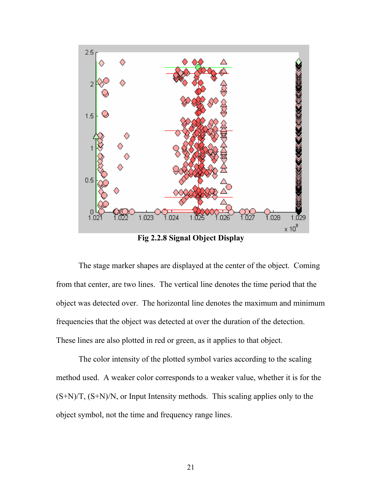

**Fig 2.2.8 Signal Object Display** 

The stage marker shapes are displayed at the center of the object. Coming from that center, are two lines. The vertical line denotes the time period that the object was detected over. The horizontal line denotes the maximum and minimum frequencies that the object was detected at over the duration of the detection. These lines are also plotted in red or green, as it applies to that object.

The color intensity of the plotted symbol varies according to the scaling method used. A weaker color corresponds to a weaker value, whether it is for the (S+N)/T, (S+N)/N, or Input Intensity methods. This scaling applies only to the object symbol, not the time and frequency range lines.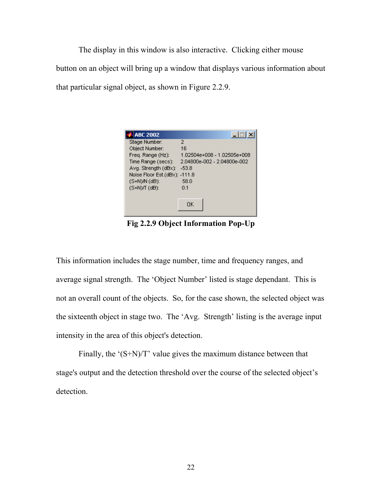The display in this window is also interactive. Clicking either mouse button on an object will bring up a window that displays various information about that particular signal object, as shown in Figure 2.2.9.

| <b>ABC 2002</b>               | $\Box$                      |
|-------------------------------|-----------------------------|
| Stage Number:                 | 2                           |
| Object Number:                | 16                          |
| Freq. Range (Hz):             | 1.02504e+008 - 1.02505e+008 |
| Time Range (secs):            | 2.04800e-002 - 2.04800e-002 |
| Ava. Strenath (dBx):          | $-53.8$                     |
| Noise Floor Est.(dBx): -111.8 |                             |
| $(S+N)N$ (dB):                | 58.0                        |
| $(S+N)$ $T$ $(dB)$ :          | 0.1                         |
|                               |                             |
|                               | OΚ                          |

**Fig 2.2.9 Object Information Pop-Up** 

This information includes the stage number, time and frequency ranges, and average signal strength. The 'Object Number' listed is stage dependant. This is not an overall count of the objects. So, for the case shown, the selected object was the sixteenth object in stage two. The 'Avg. Strength' listing is the average input intensity in the area of this object's detection.

Finally, the '(S+N)/T' value gives the maximum distance between that stage's output and the detection threshold over the course of the selected object's detection.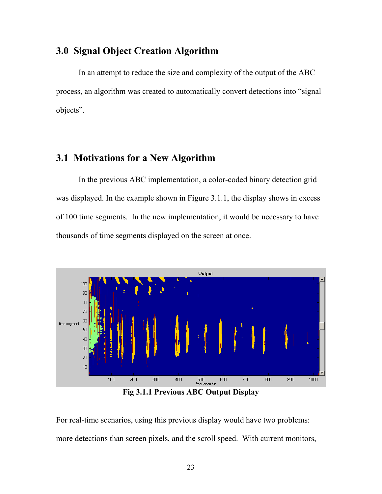# **3.0 Signal Object Creation Algorithm**

In an attempt to reduce the size and complexity of the output of the ABC process, an algorithm was created to automatically convert detections into "signal objects".

#### **3.1 Motivations for a New Algorithm**

In the previous ABC implementation, a color-coded binary detection grid was displayed. In the example shown in Figure 3.1.1, the display shows in excess of 100 time segments. In the new implementation, it would be necessary to have thousands of time segments displayed on the screen at once.



**Fig 3.1.1 Previous ABC Output Display** 

For real-time scenarios, using this previous display would have two problems: more detections than screen pixels, and the scroll speed. With current monitors,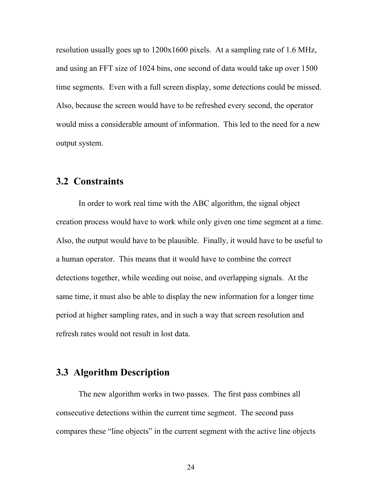resolution usually goes up to 1200x1600 pixels. At a sampling rate of 1.6 MHz, and using an FFT size of 1024 bins, one second of data would take up over 1500 time segments. Even with a full screen display, some detections could be missed. Also, because the screen would have to be refreshed every second, the operator would miss a considerable amount of information. This led to the need for a new output system.

#### **3.2 Constraints**

In order to work real time with the ABC algorithm, the signal object creation process would have to work while only given one time segment at a time. Also, the output would have to be plausible. Finally, it would have to be useful to a human operator. This means that it would have to combine the correct detections together, while weeding out noise, and overlapping signals. At the same time, it must also be able to display the new information for a longer time period at higher sampling rates, and in such a way that screen resolution and refresh rates would not result in lost data.

# **3.3 Algorithm Description**

The new algorithm works in two passes. The first pass combines all consecutive detections within the current time segment. The second pass compares these "line objects" in the current segment with the active line objects

24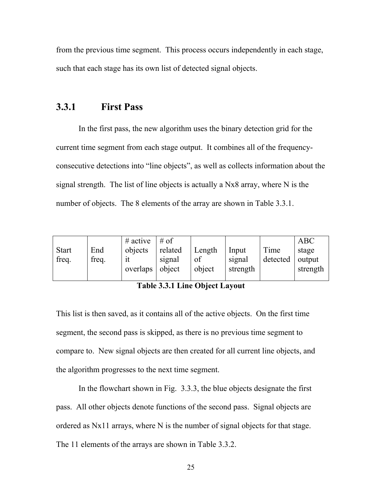from the previous time segment. This process occurs independently in each stage, such that each stage has its own list of detected signal objects.

#### **3.3.1 First Pass**

In the first pass, the new algorithm uses the binary detection grid for the current time segment from each stage output. It combines all of the frequencyconsecutive detections into "line objects", as well as collects information about the signal strength. The list of line objects is actually a Nx8 array, where N is the number of objects. The 8 elements of the array are shown in Table 3.3.1.

| <b>Start</b><br>freq. | End<br>freq. | $#$ active<br>objects<br>overlaps | # of<br>related<br>signal<br>object | Length<br>of<br>object | Input<br>signal<br>strength | Time<br>detected | <b>ABC</b><br>stage<br>output<br>strength |
|-----------------------|--------------|-----------------------------------|-------------------------------------|------------------------|-----------------------------|------------------|-------------------------------------------|
|                       |              |                                   |                                     |                        |                             |                  |                                           |

**Table 3.3.1 Line Object Layout** 

This list is then saved, as it contains all of the active objects. On the first time segment, the second pass is skipped, as there is no previous time segment to compare to. New signal objects are then created for all current line objects, and the algorithm progresses to the next time segment.

In the flowchart shown in Fig. 3.3.3, the blue objects designate the first pass. All other objects denote functions of the second pass. Signal objects are ordered as Nx11 arrays, where N is the number of signal objects for that stage. The 11 elements of the arrays are shown in Table 3.3.2.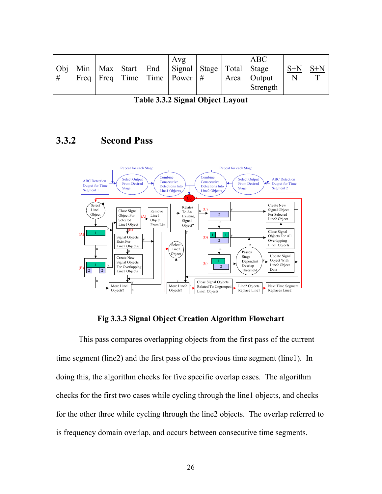|   |  |  | Avg                                                            |  | ABC           |       |  |
|---|--|--|----------------------------------------------------------------|--|---------------|-------|--|
|   |  |  | Obj   Min   Max   Start   End   Signal   Stage   Total   Stage |  |               | $S+N$ |  |
| # |  |  | Freq   Freq   Time   Time   Power   $\#$                       |  | Area   Output |       |  |
|   |  |  |                                                                |  | Strength      |       |  |

|  |  |  | Table 3.3.2 Signal Object Layout |  |
|--|--|--|----------------------------------|--|
|--|--|--|----------------------------------|--|

# **3.3.2 Second Pass**



**Fig 3.3.3 Signal Object Creation Algorithm Flowchart** 

This pass compares overlapping objects from the first pass of the current time segment (line2) and the first pass of the previous time segment (line1). In doing this, the algorithm checks for five specific overlap cases. The algorithm checks for the first two cases while cycling through the line1 objects, and checks for the other three while cycling through the line2 objects. The overlap referred to is frequency domain overlap, and occurs between consecutive time segments.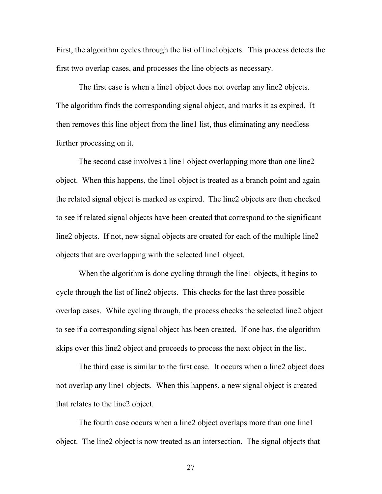First, the algorithm cycles through the list of line1objects. This process detects the first two overlap cases, and processes the line objects as necessary.

The first case is when a line1 object does not overlap any line2 objects. The algorithm finds the corresponding signal object, and marks it as expired. It then removes this line object from the line1 list, thus eliminating any needless further processing on it.

The second case involves a line1 object overlapping more than one line2 object. When this happens, the line1 object is treated as a branch point and again the related signal object is marked as expired. The line2 objects are then checked to see if related signal objects have been created that correspond to the significant line2 objects. If not, new signal objects are created for each of the multiple line2 objects that are overlapping with the selected line1 object.

When the algorithm is done cycling through the line1 objects, it begins to cycle through the list of line2 objects. This checks for the last three possible overlap cases. While cycling through, the process checks the selected line2 object to see if a corresponding signal object has been created. If one has, the algorithm skips over this line2 object and proceeds to process the next object in the list.

The third case is similar to the first case. It occurs when a line2 object does not overlap any line1 objects. When this happens, a new signal object is created that relates to the line2 object.

The fourth case occurs when a line2 object overlaps more than one line1 object. The line2 object is now treated as an intersection. The signal objects that

27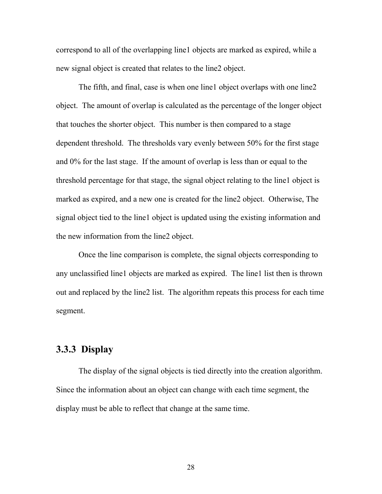correspond to all of the overlapping line1 objects are marked as expired, while a new signal object is created that relates to the line2 object.

The fifth, and final, case is when one line1 object overlaps with one line2 object. The amount of overlap is calculated as the percentage of the longer object that touches the shorter object. This number is then compared to a stage dependent threshold. The thresholds vary evenly between 50% for the first stage and 0% for the last stage. If the amount of overlap is less than or equal to the threshold percentage for that stage, the signal object relating to the line1 object is marked as expired, and a new one is created for the line2 object. Otherwise, The signal object tied to the line1 object is updated using the existing information and the new information from the line2 object.

Once the line comparison is complete, the signal objects corresponding to any unclassified line1 objects are marked as expired. The line1 list then is thrown out and replaced by the line2 list. The algorithm repeats this process for each time segment.

# **3.3.3 Display**

The display of the signal objects is tied directly into the creation algorithm. Since the information about an object can change with each time segment, the display must be able to reflect that change at the same time.

28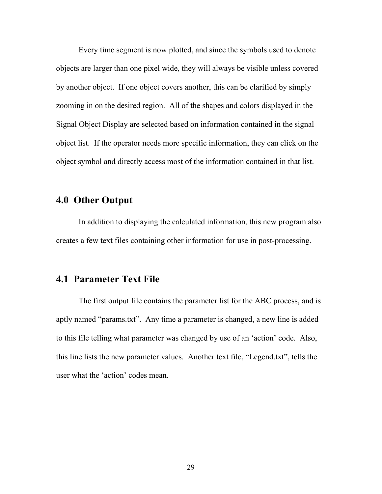Every time segment is now plotted, and since the symbols used to denote objects are larger than one pixel wide, they will always be visible unless covered by another object. If one object covers another, this can be clarified by simply zooming in on the desired region. All of the shapes and colors displayed in the Signal Object Display are selected based on information contained in the signal object list. If the operator needs more specific information, they can click on the object symbol and directly access most of the information contained in that list.

## **4.0 Other Output**

In addition to displaying the calculated information, this new program also creates a few text files containing other information for use in post-processing.

#### **4.1 Parameter Text File**

The first output file contains the parameter list for the ABC process, and is aptly named "params.txt". Any time a parameter is changed, a new line is added to this file telling what parameter was changed by use of an 'action' code. Also, this line lists the new parameter values. Another text file, "Legend.txt", tells the user what the 'action' codes mean.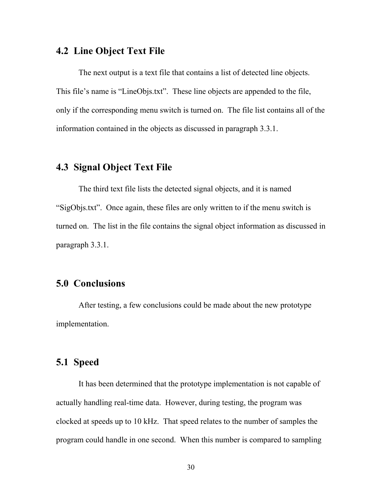### **4.2 Line Object Text File**

The next output is a text file that contains a list of detected line objects. This file's name is "LineObjs.txt". These line objects are appended to the file, only if the corresponding menu switch is turned on. The file list contains all of the information contained in the objects as discussed in paragraph 3.3.1.

# **4.3 Signal Object Text File**

The third text file lists the detected signal objects, and it is named "SigObjs.txt". Once again, these files are only written to if the menu switch is turned on. The list in the file contains the signal object information as discussed in paragraph 3.3.1.

# **5.0 Conclusions**

After testing, a few conclusions could be made about the new prototype implementation.

## **5.1 Speed**

It has been determined that the prototype implementation is not capable of actually handling real-time data. However, during testing, the program was clocked at speeds up to 10 kHz. That speed relates to the number of samples the program could handle in one second. When this number is compared to sampling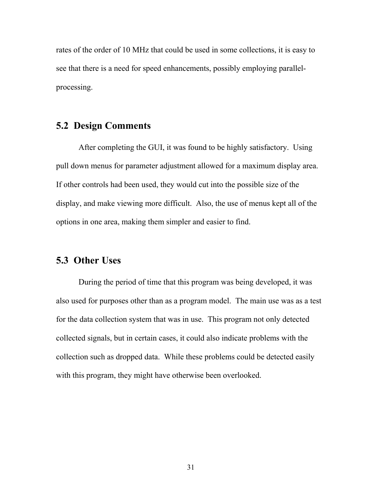rates of the order of 10 MHz that could be used in some collections, it is easy to see that there is a need for speed enhancements, possibly employing parallelprocessing.

# **5.2 Design Comments**

After completing the GUI, it was found to be highly satisfactory. Using pull down menus for parameter adjustment allowed for a maximum display area. If other controls had been used, they would cut into the possible size of the display, and make viewing more difficult. Also, the use of menus kept all of the options in one area, making them simpler and easier to find.

### **5.3 Other Uses**

During the period of time that this program was being developed, it was also used for purposes other than as a program model. The main use was as a test for the data collection system that was in use. This program not only detected collected signals, but in certain cases, it could also indicate problems with the collection such as dropped data. While these problems could be detected easily with this program, they might have otherwise been overlooked.